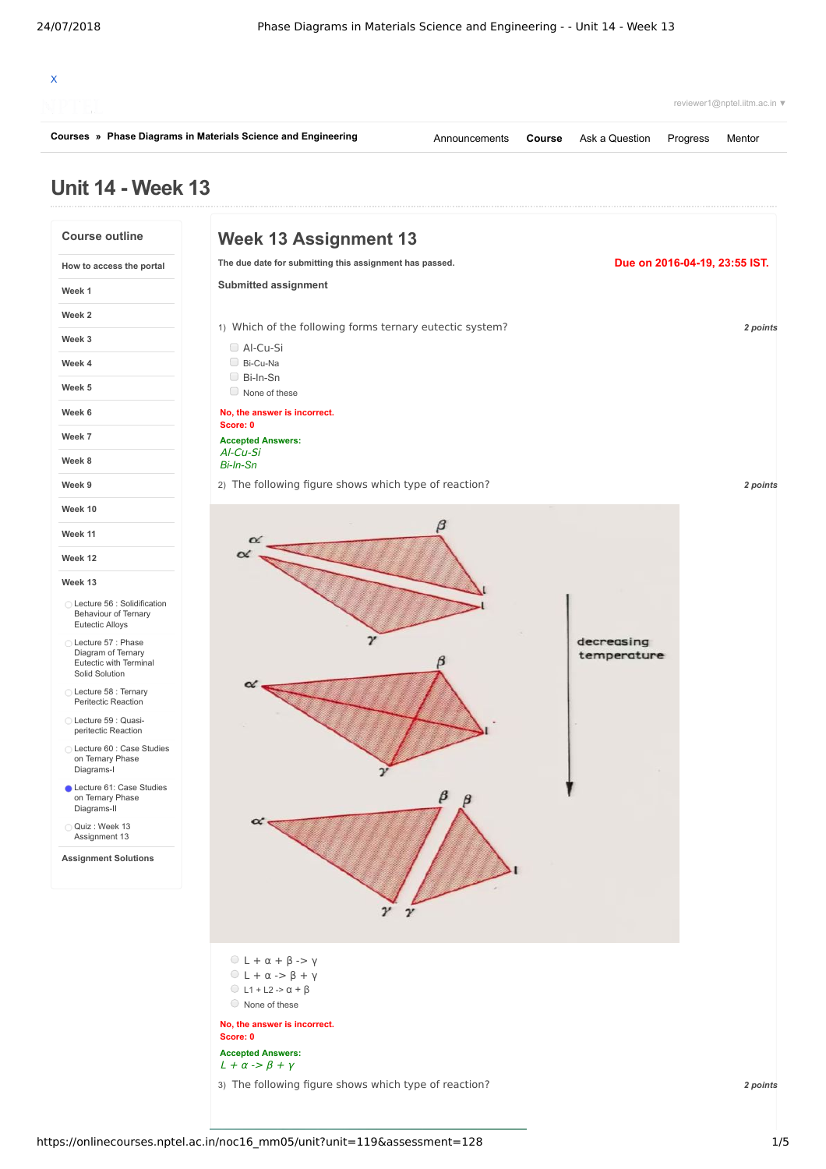

**[Courses](https://onlinecourses.nptel.ac.in/) » [Phase Diagrams in Materials Science and Engineering](https://onlinecourses.nptel.ac.in/noc16_mm05/course)**

[Announcements](https://onlinecourses.nptel.ac.in/noc16_mm05/announcements) **[Course](https://onlinecourses.nptel.ac.in/noc16_mm05/course)** [Ask a Question](https://onlinecourses.nptel.ac.in/noc16_mm05/forum) [Progress](https://onlinecourses.nptel.ac.in/noc16_mm05/student/home) [Mentor](https://onlinecourses.nptel.ac.in/noc16_mm05/student/mentor)

reviewer1@nptel.iitm.ac.in ▼

## **Unit 14 - Week 13**

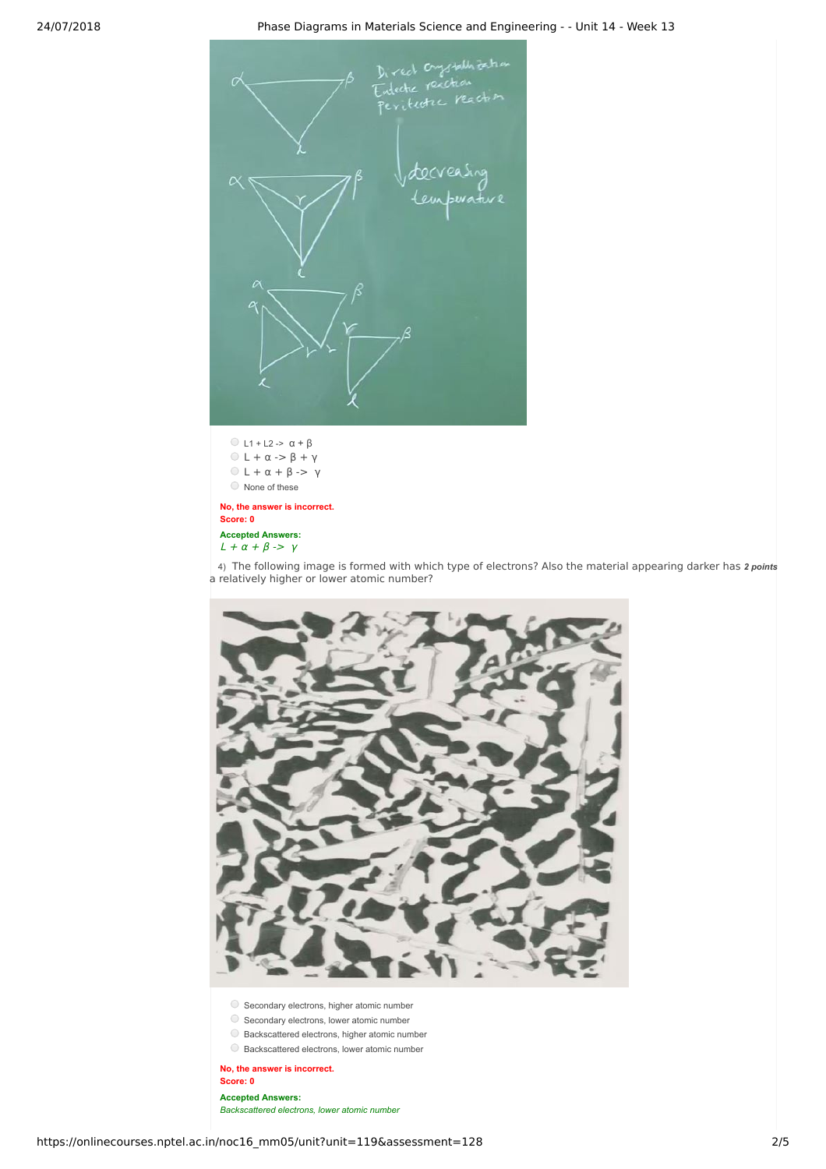## 24/07/2018 Phase Diagrams in Materials Science and Engineering - - Unit 14 - Week 13



 $\bigcirc$  L1 + L2 ->  $\alpha$  +  $\beta$  $0 L + \alpha \rightarrow \beta + \gamma$  $0 L + \alpha + \beta \rightarrow \gamma$ None of these

**No, the answer is incorrect. Score: 0 Accepted Answers:**  $L + \alpha + \beta \rightarrow \gamma$ 

4) The following image is formed with which type of electrons? Also the material appearing darker has 2 *points* a relatively higher or lower atomic number?

- O Secondary electrons, higher atomic number
- $\bigcirc$  Secondary electrons, lower atomic number
- $\bigcirc$  Backscattered electrons, higher atomic number
- Backscattered electrons, lower atomic number

**No, the answer is incorrect. Score: 0 Accepted Answers:** *Backscattered electrons, lower atomic number*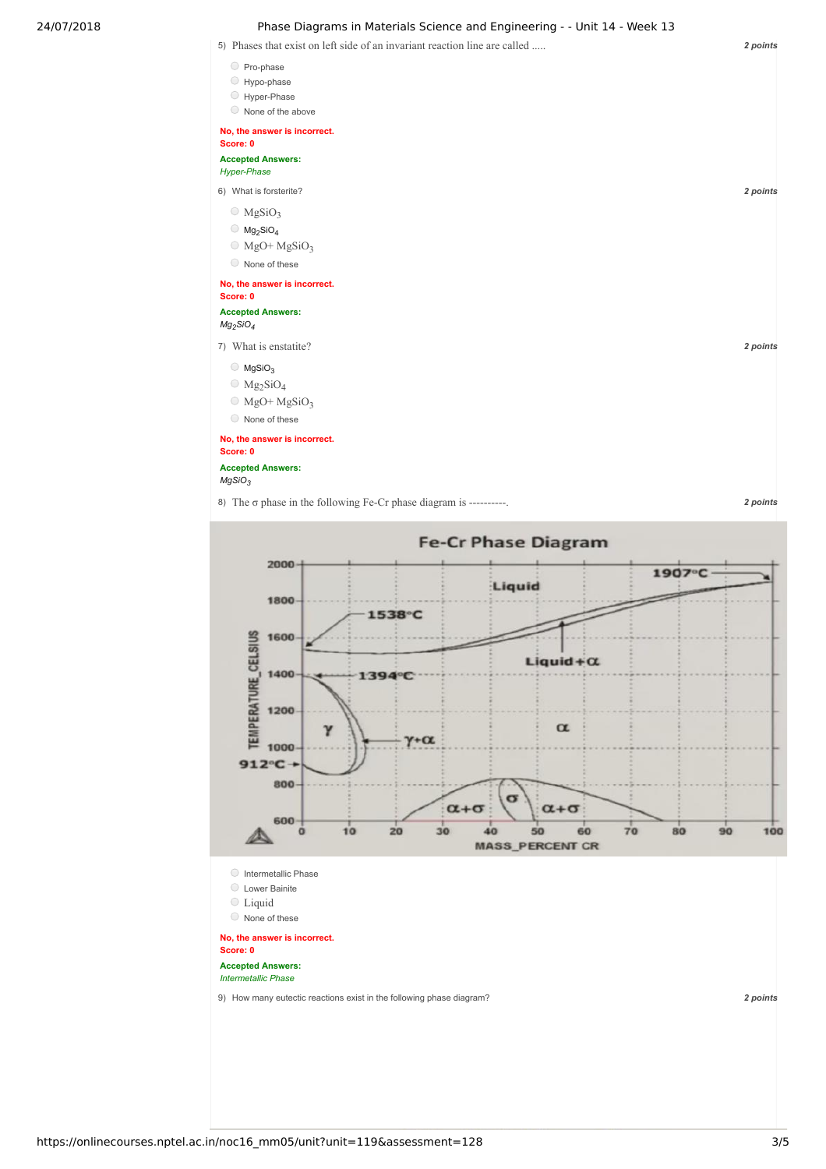## 24/07/2018 Phase Diagrams in Materials Science and Engineering - - Unit 14 - Week 13



**No, the answer is incorrect. Score: 0**

## **Accepted Answers:** *MgSiO<sup>3</sup>*

8) The  $\sigma$  phase in the following Fe-Cr phase diagram is ----------.

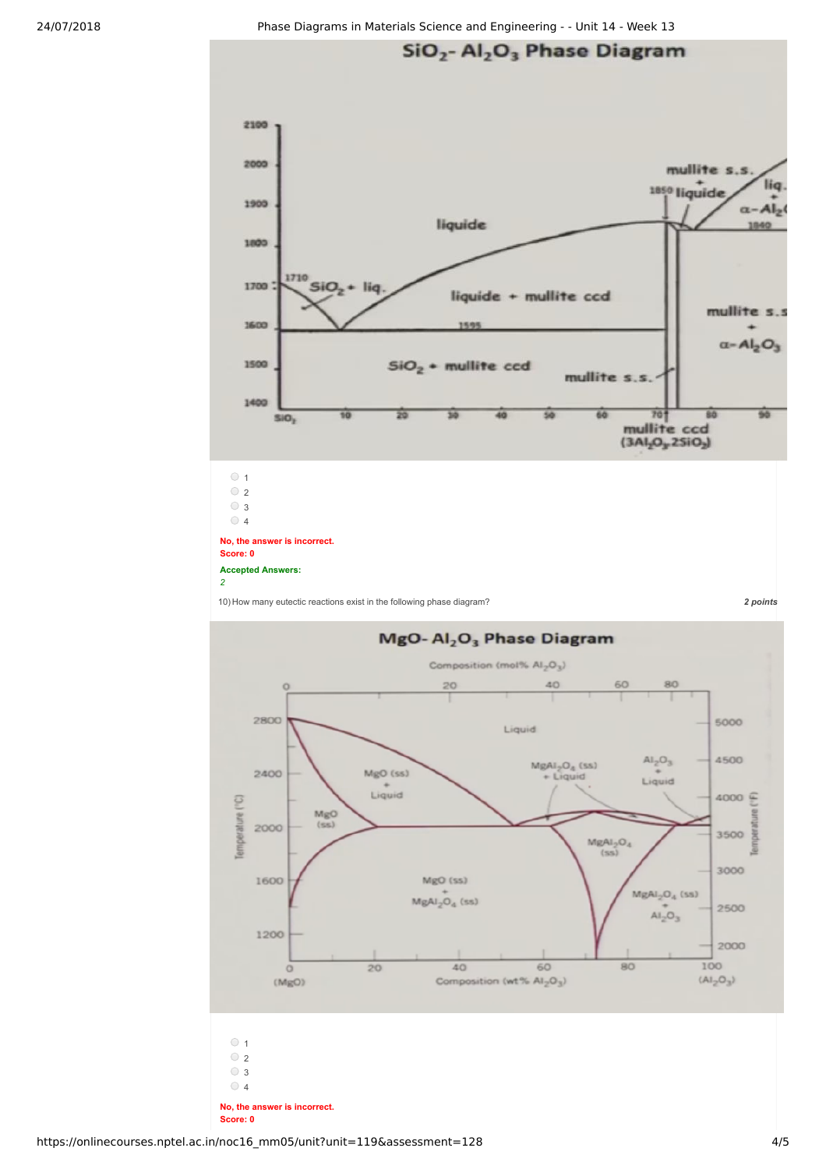